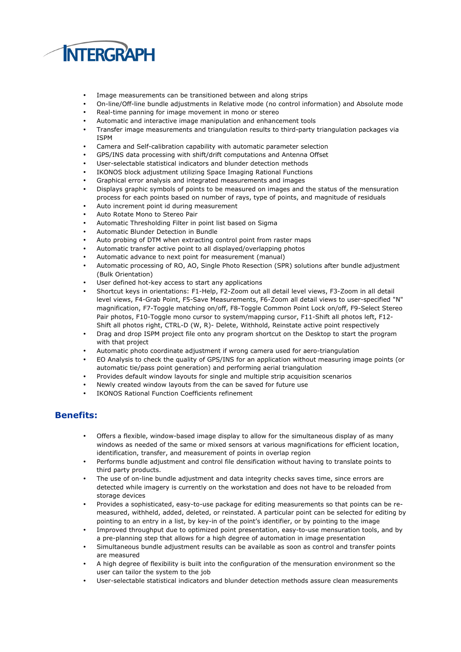

- Image measurements can be transitioned between and along strips
- On-line/Off-line bundle adjustments in Relative mode (no control information) and Absolute mode
- Real-time panning for image movement in mono or stereo
- Automatic and interactive image manipulation and enhancement tools
- Transfer image measurements and triangulation results to third-party triangulation packages via ISPM
- Camera and Self-calibration capability with automatic parameter selection
- GPS/INS data processing with shift/drift computations and Antenna Offset
- User-selectable statistical indicators and blunder detection methods
- IKONOS block adjustment utilizing Space Imaging Rational Functions
- Graphical error analysis and integrated measurements and images
- Displays graphic symbols of points to be measured on images and the status of the mensuration process for each points based on number of rays, type of points, and magnitude of residuals
- Auto increment point id during measurement
- Auto Rotate Mono to Stereo Pair
- Automatic Thresholding Filter in point list based on Sigma
- Automatic Blunder Detection in Bundle
- Auto probing of DTM when extracting control point from raster maps
- Automatic transfer active point to all displayed/overlapping photos
- Automatic advance to next point for measurement (manual)
- Automatic processing of RO, AO, Single Photo Resection (SPR) solutions after bundle adjustment (Bulk Orientation)
- User defined hot-key access to start any applications
- Shortcut keys in orientations: F1-Help, F2-Zoom out all detail level views, F3-Zoom in all detail level views, F4-Grab Point, F5-Save Measurements, F6-Zoom all detail views to user-specified "N" magnification, F7-Toggle matching on/off, F8-Toggle Common Point Lock on/off, F9-Select Stereo Pair photos, F10-Toggle mono cursor to system/mapping cursor, F11-Shift all photos left, F12- Shift all photos right, CTRL-D (W, R)- Delete, Withhold, Reinstate active point respectively
- Drag and drop ISPM project file onto any program shortcut on the Desktop to start the program with that project
- Automatic photo coordinate adjustment if wrong camera used for aero-triangulation
- EO Analysis to check the quality of GPS/INS for an application without measuring image points (or automatic tie/pass point generation) and performing aerial triangulation
- Provides default window layouts for single and multiple strip acquisition scenarios
- Newly created window layouts from the can be saved for future use
- IKONOS Rational Function Coefficients refinement

## Benefits:

- Offers a flexible, window-based image display to allow for the simultaneous display of as many windows as needed of the same or mixed sensors at various magnifications for efficient location, identification, transfer, and measurement of points in overlap region
- Performs bundle adjustment and control file densification without having to translate points to third party products.
- The use of on-line bundle adjustment and data integrity checks saves time, since errors are detected while imagery is currently on the workstation and does not have to be reloaded from storage devices
- Provides a sophisticated, easy-to-use package for editing measurements so that points can be remeasured, withheld, added, deleted, or reinstated. A particular point can be selected for editing by pointing to an entry in a list, by key-in of the point's identifier, or by pointing to the image
- Improved throughput due to optimized point presentation, easy-to-use mensuration tools, and by a pre-planning step that allows for a high degree of automation in image presentation
- Simultaneous bundle adjustment results can be available as soon as control and transfer points are measured
- A high degree of flexibility is built into the configuration of the mensuration environment so the user can tailor the system to the job
- User-selectable statistical indicators and blunder detection methods assure clean measurements